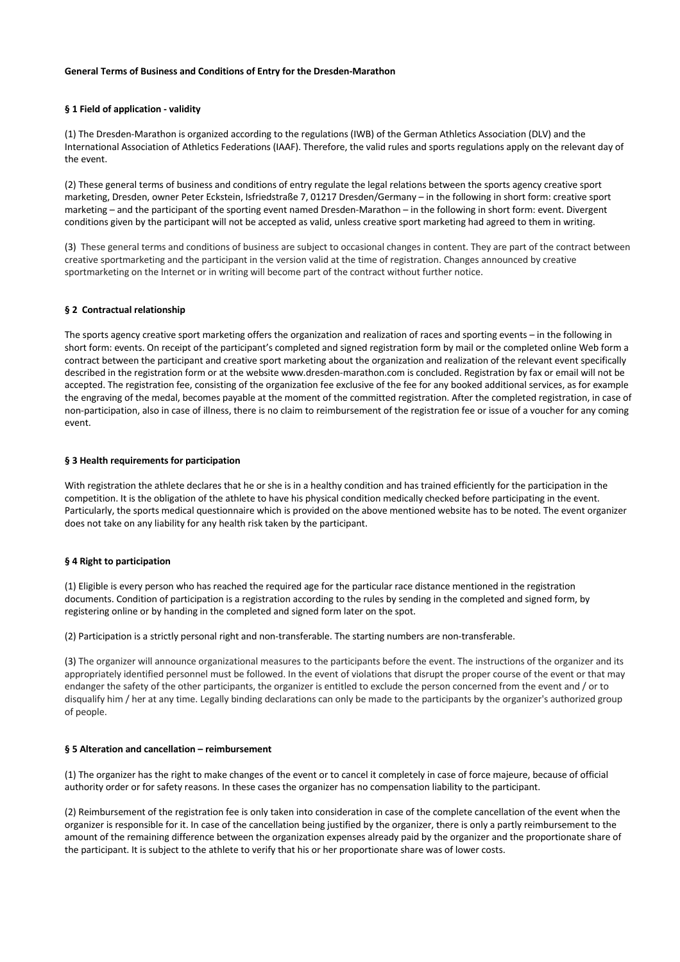## **General Terms of Business and Conditions of Entry for the Dresden-Marathon**

# **§ 1 Field of application - validity**

(1) The Dresden-Marathon is organized according to the regulations (IWB) of the German Athletics Association (DLV) and the International Association of Athletics Federations (IAAF). Therefore, the valid rules and sports regulations apply on the relevant day of the event.

(2) These general terms of business and conditions of entry regulate the legal relations between the sports agency creative sport marketing, Dresden, owner Peter Eckstein, Isfriedstraße 7, 01217 Dresden/Germany – in the following in short form: creative sport marketing – and the participant of the sporting event named Dresden-Marathon – in the following in short form: event. Divergent conditions given by the participant will not be accepted as valid, unless creative sport marketing had agreed to them in writing.

(3) These general terms and conditions of business are subject to occasional changes in content. They are part of the contract between creative sportmarketing and the participant in the version valid at the time of registration. Changes announced by creative sportmarketing on the Internet or in writing will become part of the contract without further notice.

## **§ 2 Contractual relationship**

The sports agency creative sport marketing offers the organization and realization of races and sporting events – in the following in short form: events. On receipt of the participant's completed and signed registration form by mail or the completed online Web form a contract between the participant and creative sport marketing about the organization and realization of the relevant event specifically described in the registration form or at the website www.dresden-marathon.com is concluded. Registration by fax or email will not be accepted. The registration fee, consisting of the organization fee exclusive of the fee for any booked additional services, as for example the engraving of the medal, becomes payable at the moment of the committed registration. After the completed registration, in case of non-participation, also in case of illness, there is no claim to reimbursement of the registration fee or issue of a voucher for any coming event.

## **§ 3 Health requirements for participation**

With registration the athlete declares that he or she is in a healthy condition and has trained efficiently for the participation in the competition. It is the obligation of the athlete to have his physical condition medically checked before participating in the event. Particularly, the sports medical questionnaire which is provided on the above mentioned website has to be noted. The event organizer does not take on any liability for any health risk taken by the participant.

# **§ 4 Right to participation**

(1) Eligible is every person who has reached the required age for the particular race distance mentioned in the registration documents. Condition of participation is a registration according to the rules by sending in the completed and signed form, by registering online or by handing in the completed and signed form later on the spot.

(2) Participation is a strictly personal right and non-transferable. The starting numbers are non-transferable.

(3) The organizer will announce organizational measures to the participants before the event. The instructions of the organizer and its appropriately identified personnel must be followed. In the event of violations that disrupt the proper course of the event or that may endanger the safety of the other participants, the organizer is entitled to exclude the person concerned from the event and / or to disqualify him / her at any time. Legally binding declarations can only be made to the participants by the organizer's authorized group of people.

#### **§ 5 Alteration and cancellation – reimbursement**

(1) The organizer has the right to make changes of the event or to cancel it completely in case of force majeure, because of official authority order or for safety reasons. In these cases the organizer has no compensation liability to the participant.

(2) Reimbursement of the registration fee is only taken into consideration in case of the complete cancellation of the event when the organizer is responsible for it. In case of the cancellation being justified by the organizer, there is only a partly reimbursement to the amount of the remaining difference between the organization expenses already paid by the organizer and the proportionate share of the participant. It is subject to the athlete to verify that his or her proportionate share was of lower costs.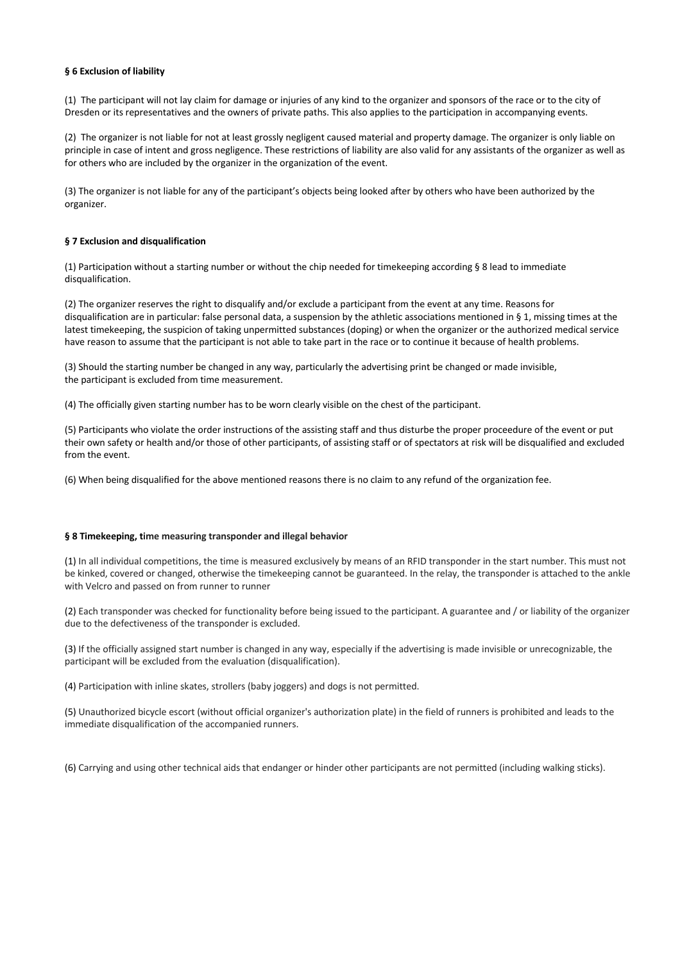## **§ 6 Exclusion of liability**

(1) The participant will not lay claim for damage or injuries of any kind to the organizer and sponsors of the race or to the city of Dresden or its representatives and the owners of private paths. This also applies to the participation in accompanying events.

(2) The organizer is not liable for not at least grossly negligent caused material and property damage. The organizer is only liable on principle in case of intent and gross negligence. These restrictions of liability are also valid for any assistants of the organizer as well as for others who are included by the organizer in the organization of the event.

(3) The organizer is not liable for any of the participant's objects being looked after by others who have been authorized by the organizer.

## **§ 7 Exclusion and disqualification**

(1) Participation without a starting number or without the chip needed for timekeeping according § 8 lead to immediate disqualification.

(2) The organizer reserves the right to disqualify and/or exclude a participant from the event at any time. Reasons for disqualification are in particular: false personal data, a suspension by the athletic associations mentioned in § 1, missing times at the latest timekeeping, the suspicion of taking unpermitted substances (doping) or when the organizer or the authorized medical service have reason to assume that the participant is not able to take part in the race or to continue it because of health problems.

(3) Should the starting number be changed in any way, particularly the advertising print be changed or made invisible, the participant is excluded from time measurement.

(4) The officially given starting number has to be worn clearly visible on the chest of the participant.

(5) Participants who violate the order instructions of the assisting staff and thus disturbe the proper proceedure of the event or put their own safety or health and/or those of other participants, of assisting staff or of spectators at risk will be disqualified and excluded from the event.

(6) When being disqualified for the above mentioned reasons there is no claim to any refund of the organization fee.

# **§ 8 Timekeeping, time measuring transponder and illegal behavior**

(1) In all individual competitions, the time is measured exclusively by means of an RFID transponder in the start number. This must not be kinked, covered or changed, otherwise the timekeeping cannot be guaranteed. In the relay, the transponder is attached to the ankle with Velcro and passed on from runner to runner

(2) Each transponder was checked for functionality before being issued to the participant. A guarantee and / or liability of the organizer due to the defectiveness of the transponder is excluded.

(3) If the officially assigned start number is changed in any way, especially if the advertising is made invisible or unrecognizable, the participant will be excluded from the evaluation (disqualification).

(4) Participation with inline skates, strollers (baby joggers) and dogs is not permitted.

(5) Unauthorized bicycle escort (without official organizer's authorization plate) in the field of runners is prohibited and leads to the immediate disqualification of the accompanied runners.

(6) Carrying and using other technical aids that endanger or hinder other participants are not permitted (including walking sticks).